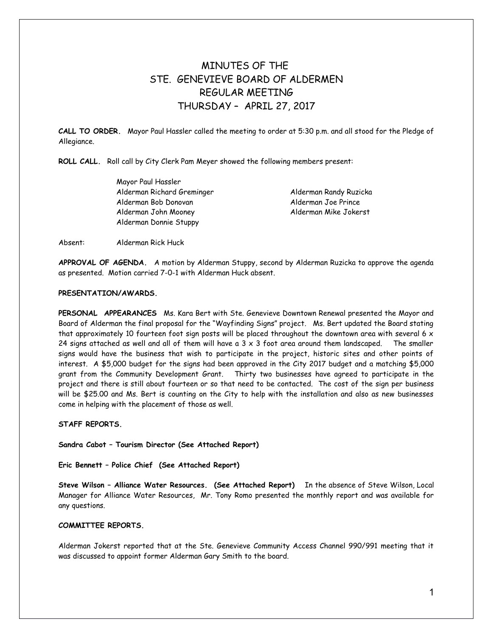# MINUTES OF THE STE. GENEVIEVE BOARD OF ALDERMEN REGULAR MEETING THURSDAY – APRIL 27, 2017

**CALL TO ORDER.** Mayor Paul Hassler called the meeting to order at 5:30 p.m. and all stood for the Pledge of Allegiance.

**ROLL CALL.** Roll call by City Clerk Pam Meyer showed the following members present:

Mayor Paul Hassler Alderman Richard Greminger Alderman Randy Ruzicka Alderman Bob Donovan Alderman Joe Prince Alderman John Mooney Alderman Mike Jokerst Alderman Donnie Stuppy

Absent: Alderman Rick Huck

**APPROVAL OF AGENDA.** A motion by Alderman Stuppy, second by Alderman Ruzicka to approve the agenda as presented. Motion carried 7-0-1 with Alderman Huck absent.

## **PRESENTATION/AWARDS.**

**PERSONAL APPEARANCES** Ms. Kara Bert with Ste. Genevieve Downtown Renewal presented the Mayor and Board of Alderman the final proposal for the "Wayfinding Signs" project. Ms. Bert updated the Board stating that approximately 10 fourteen foot sign posts will be placed throughout the downtown area with several 6  $\times$ 24 signs attached as well and all of them will have a  $3 \times 3$  foot area around them landscaped. The smaller signs would have the business that wish to participate in the project, historic sites and other points of interest. A \$5,000 budget for the signs had been approved in the City 2017 budget and a matching \$5,000 grant from the Community Development Grant. Thirty two businesses have agreed to participate in the project and there is still about fourteen or so that need to be contacted. The cost of the sign per business will be \$25.00 and Ms. Bert is counting on the City to help with the installation and also as new businesses come in helping with the placement of those as well.

**STAFF REPORTS.** 

**Sandra Cabot – Tourism Director (See Attached Report)** 

**Eric Bennett – Police Chief (See Attached Report)** 

**Steve Wilson – Alliance Water Resources. (See Attached Report)** In the absence of Steve Wilson, Local Manager for Alliance Water Resources, Mr. Tony Romo presented the monthly report and was available for any questions.

#### **COMMITTEE REPORTS.**

Alderman Jokerst reported that at the Ste. Genevieve Community Access Channel 990/991 meeting that it was discussed to appoint former Alderman Gary Smith to the board.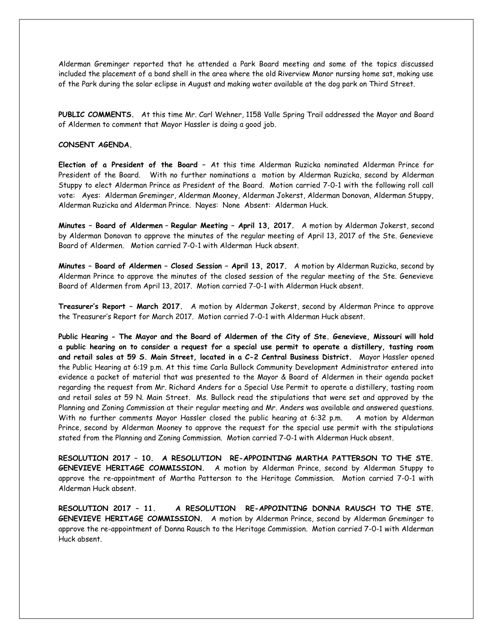Alderman Greminger reported that he attended a Park Board meeting and some of the topics discussed included the placement of a band shell in the area where the old Riverview Manor nursing home sat, making use of the Park during the solar eclipse in August and making water available at the dog park on Third Street.

**PUBLIC COMMENTS.** At this time Mr. Carl Wehner, 1158 Valle Spring Trail addressed the Mayor and Board of Aldermen to comment that Mayor Hassler is doing a good job.

#### **CONSENT AGENDA.**

**Election of a President of the Board –** At this time Alderman Ruzicka nominated Alderman Prince for President of the Board. With no further nominations a motion by Alderman Ruzicka, second by Alderman Stuppy to elect Alderman Prince as President of the Board. Motion carried 7-0-1 with the following roll call vote: Ayes: Alderman Greminger, Alderman Mooney, Alderman Jokerst, Alderman Donovan, Alderman Stuppy, Alderman Ruzicka and Alderman Prince. Nayes: None Absent: Alderman Huck.

**Minutes – Board of Aldermen** – **Regular Meeting – April 13, 2017.** A motion by Alderman Jokerst, second by Alderman Donovan to approve the minutes of the regular meeting of April 13, 2017 of the Ste. Genevieve Board of Aldermen. Motion carried 7-0-1 with Alderman Huck absent.

**Minutes – Board of Aldermen – Closed Session – April 13, 2017.** A motion by Alderman Ruzicka, second by Alderman Prince to approve the minutes of the closed session of the regular meeting of the Ste. Genevieve Board of Aldermen from April 13, 2017. Motion carried 7-0-1 with Alderman Huck absent.

**Treasurer's Report – March 2017.** A motion by Alderman Jokerst, second by Alderman Prince to approve the Treasurer's Report for March 2017. Motion carried 7-0-1 with Alderman Huck absent.

**Public Hearing - The Mayor and the Board of Aldermen of the City of Ste. Genevieve, Missouri will hold a public hearing on to consider a request for a special use permit to operate a distillery, tasting room and retail sales at 59 S. Main Street, located in a C-2 Central Business District.** Mayor Hassler opened the Public Hearing at 6:19 p.m. At this time Carla Bullock Community Development Administrator entered into evidence a packet of material that was presented to the Mayor & Board of Aldermen in their agenda packet regarding the request from Mr. Richard Anders for a Special Use Permit to operate a distillery, tasting room and retail sales at 59 N. Main Street. Ms. Bullock read the stipulations that were set and approved by the Planning and Zoning Commission at their regular meeting and Mr. Anders was available and answered questions. With no further comments Mayor Hassler closed the public hearing at 6:32 p.m. A motion by Alderman Prince, second by Alderman Mooney to approve the request for the special use permit with the stipulations stated from the Planning and Zoning Commission. Motion carried 7-0-1 with Alderman Huck absent.

**RESOLUTION 2017 – 10. A RESOLUTION RE-APPOINTING MARTHA PATTERSON TO THE STE. GENEVIEVE HERITAGE COMMISSION.** A motion by Alderman Prince, second by Alderman Stuppy to approve the re-appointment of Martha Patterson to the Heritage Commission. Motion carried 7-0-1 with Alderman Huck absent.

**RESOLUTION 2017 – 11. A RESOLUTION RE-APPOINTING DONNA RAUSCH TO THE STE. GENEVIEVE HERITAGE COMMISSION.** A motion by Alderman Prince, second by Alderman Greminger to approve the re-appointment of Donna Rausch to the Heritage Commission. Motion carried 7-0-1 with Alderman Huck absent.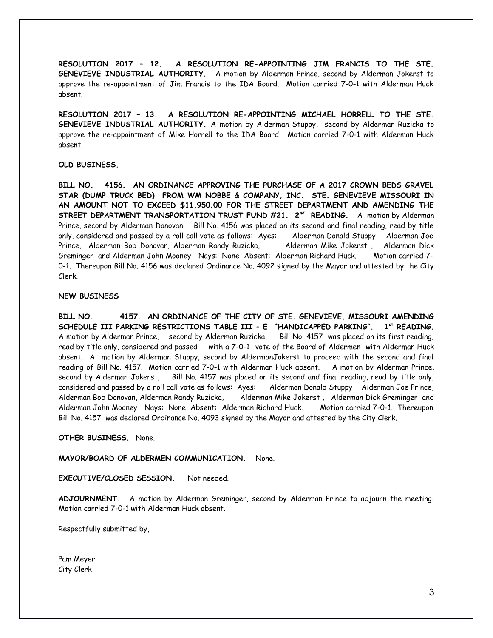**RESOLUTION 2017 – 12. A RESOLUTION RE-APPOINTING JIM FRANCIS TO THE STE. GENEVIEVE INDUSTRIAL AUTHORITY.** A motion by Alderman Prince, second by Alderman Jokerst to approve the re-appointment of Jim Francis to the IDA Board. Motion carried 7-0-1 with Alderman Huck absent.

**RESOLUTION 2017 – 13. A RESOLUTION RE-APPOINTING MICHAEL HORRELL TO THE STE. GENEVIEVE INDUSTRIAL AUTHORITY.** A motion by Alderman Stuppy, second by Alderman Ruzicka to approve the re-appointment of Mike Horrell to the IDA Board. Motion carried 7-0-1 with Alderman Huck absent.

# **OLD BUSINESS.**

**BILL NO. 4156. AN ORDINANCE APPROVING THE PURCHASE OF A 2017 CROWN BEDS GRAVEL STAR (DUMP TRUCK BED) FROM WM NOBBE & COMPANY, INC. STE. GENEVIEVE MISSOURI IN AN AMOUNT NOT TO EXCEED \$11,950.00 FOR THE STREET DEPARTMENT AND AMENDING THE STREET DEPARTMENT TRANSPORTATION TRUST FUND #21. 2nd READING.** A motion by Alderman Prince, second by Alderman Donovan, Bill No. 4156 was placed on its second and final reading, read by title only, considered and passed by a roll call vote as follows: Ayes: Alderman Donald Stuppy Alderman Joe Prince, Alderman Bob Donovan, Alderman Randy Ruzicka, Alderman Mike Jokerst , Alderman Dick Greminger and Alderman John Mooney Nays: None Absent: Alderman Richard Huck. Motion carried 7- 0-1. Thereupon Bill No. 4156 was declared Ordinance No. 4092 signed by the Mayor and attested by the City Clerk.

## **NEW BUSINESS**

**BILL NO. 4157. AN ORDINANCE OF THE CITY OF STE. GENEVIEVE, MISSOURI AMENDING SCHEDULE III PARKING RESTRICTIONS TABLE III – E "HANDICAPPED PARKING". 1st READING.** A motion by Alderman Prince, second by Alderman Ruzicka, Bill No. 4157 was placed on its first reading, read by title only, considered and passed with a 7-0-1 vote of the Board of Aldermen with Alderman Huck absent. A motion by Alderman Stuppy, second by AldermanJokerst to proceed with the second and final reading of Bill No. 4157. Motion carried 7-0-1 with Alderman Huck absent. A motion by Alderman Prince, second by Alderman Jokerst, Bill No. 4157 was placed on its second and final reading, read by title only, considered and passed by a roll call vote as follows: Ayes: Alderman Donald Stuppy Alderman Joe Prince, Alderman Bob Donovan, Alderman Randy Ruzicka, Alderman Mike Jokerst , Alderman Dick Greminger and Alderman John Mooney Nays: None Absent: Alderman Richard Huck. Motion carried 7-0-1. Thereupon Bill No. 4157 was declared Ordinance No. 4093 signed by the Mayor and attested by the City Clerk.

**OTHER BUSINESS.** None.

**MAYOR/BOARD OF ALDERMEN COMMUNICATION.** None.

**EXECUTIVE/CLOSED SESSION.** Not needed.

**ADJOURNMENT.** A motion by Alderman Greminger, second by Alderman Prince to adjourn the meeting. Motion carried 7-0-1 with Alderman Huck absent.

Respectfully submitted by,

Pam Meyer City Clerk